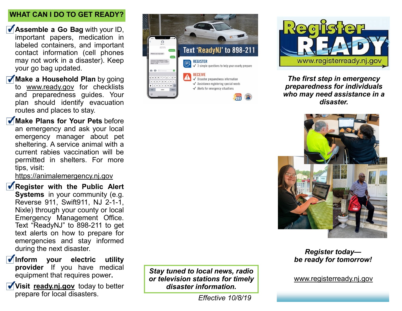# **WHAT CAN I DO TO GET READY?**

- **Assemble a Go Bag** with your ID, important papers, medication in labeled containers, and important contact information (cell phones may not work in a disaster). Keep your go bag updated.
- **Make a Household Plan** by going to www.ready.gov for checklists and preparedness guides. Your plan should identify evacuation routes and places to stay.
- **Make Plans for Your Pets** before an emergency and ask your local emergency manager about pet sheltering. A service animal with a current rabies vaccination will be permitted in shelters. For more tips, visit:

https://animalemergency.nj.gov

- *K* Register with the Public Alert **Systems** in your community (e.g. Reverse 911, Swift911, NJ 2-1-1, Nixle) through your county or local Emergency Management Office. Text "ReadyNJ" to 898-211 to get text alerts on how to prepare for emergencies and stay informed during the next disaster.
- *Inform your electric utility* **provider** If you have medical equipment that requires power**.**
- **Visit ready.nj.gov** today to better prepare for local disasters.





*The first step in emergency preparedness for individuals who may need assistance in a disaster.*



## *Register today be ready for tomorrow!*

www.registerready.nj.gov

*Stay tuned to local news, radio or television stations for timely disaster information.*

*Effective 10/8/19*